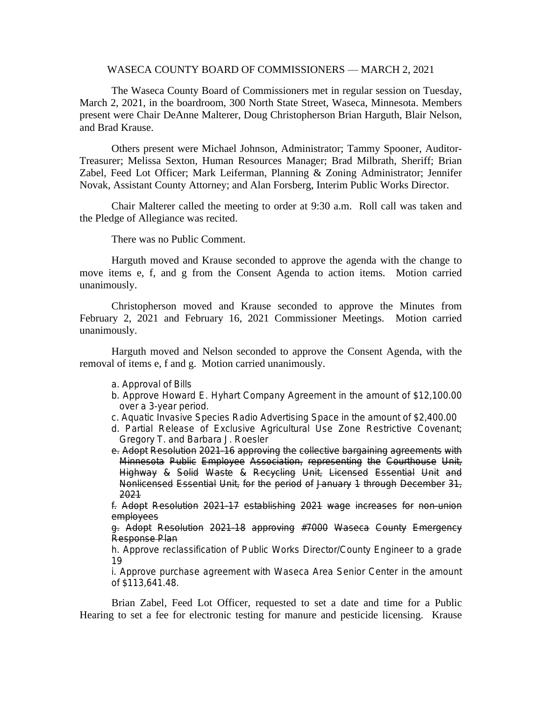### WASECA COUNTY BOARD OF COMMISSIONERS — MARCH 2, 2021

The Waseca County Board of Commissioners met in regular session on Tuesday, March 2, 2021, in the boardroom, 300 North State Street, Waseca, Minnesota. Members present were Chair DeAnne Malterer, Doug Christopherson Brian Harguth, Blair Nelson, and Brad Krause.

Others present were Michael Johnson, Administrator; Tammy Spooner, Auditor-Treasurer; Melissa Sexton, Human Resources Manager; Brad Milbrath, Sheriff; Brian Zabel, Feed Lot Officer; Mark Leiferman, Planning & Zoning Administrator; Jennifer Novak, Assistant County Attorney; and Alan Forsberg, Interim Public Works Director.

Chair Malterer called the meeting to order at 9:30 a.m. Roll call was taken and the Pledge of Allegiance was recited.

There was no Public Comment.

Harguth moved and Krause seconded to approve the agenda with the change to move items e, f, and g from the Consent Agenda to action items. Motion carried unanimously.

Christopherson moved and Krause seconded to approve the Minutes from February 2, 2021 and February 16, 2021 Commissioner Meetings. Motion carried unanimously.

Harguth moved and Nelson seconded to approve the Consent Agenda, with the removal of items e, f and g. Motion carried unanimously.

- a. Approval of Bills
- b. Approve Howard E. Hyhart Company Agreement in the amount of \$12,100.00 over a 3-year period.
- c. Aquatic Invasive Species Radio Advertising Space in the amount of \$2,400.00
- d. Partial Release of Exclusive Agricultural Use Zone Restrictive Covenant; Gregory T. and Barbara J. Roesler
- e. Adopt Resolution 2021-16 approving the collective bargaining agreements with Minnesota Public Employee Association, representing the Courthouse Unit, Highway & Solid Waste & Recycling Unit, Licensed Essential Unit and Nonlicensed Essential Unit, for the period of January 1 through December 31, 2021

f. Adopt Resolution 2021-17 establishing 2021 wage increases for non-union employees

g. Adopt Resolution 2021-18 approving #7000 Waseca County Emergency Response Plan

h. Approve reclassification of Public Works Director/County Engineer to a grade 19

i. Approve purchase agreement with Waseca Area Senior Center in the amount of \$113,641.48.

Brian Zabel, Feed Lot Officer, requested to set a date and time for a Public Hearing to set a fee for electronic testing for manure and pesticide licensing. Krause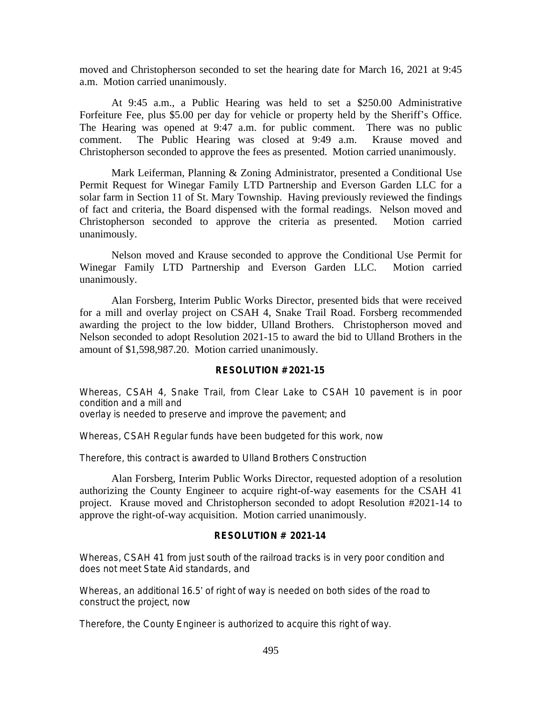moved and Christopherson seconded to set the hearing date for March 16, 2021 at 9:45 a.m. Motion carried unanimously.

At 9:45 a.m., a Public Hearing was held to set a \$250.00 Administrative Forfeiture Fee, plus \$5.00 per day for vehicle or property held by the Sheriff's Office. The Hearing was opened at 9:47 a.m. for public comment. There was no public comment. The Public Hearing was closed at 9:49 a.m. Krause moved and Christopherson seconded to approve the fees as presented. Motion carried unanimously.

Mark Leiferman, Planning & Zoning Administrator, presented a Conditional Use Permit Request for Winegar Family LTD Partnership and Everson Garden LLC for a solar farm in Section 11 of St. Mary Township. Having previously reviewed the findings of fact and criteria, the Board dispensed with the formal readings. Nelson moved and Christopherson seconded to approve the criteria as presented. Motion carried unanimously.

Nelson moved and Krause seconded to approve the Conditional Use Permit for Winegar Family LTD Partnership and Everson Garden LLC. Motion carried unanimously.

Alan Forsberg, Interim Public Works Director, presented bids that were received for a mill and overlay project on CSAH 4, Snake Trail Road. Forsberg recommended awarding the project to the low bidder, Ulland Brothers. Christopherson moved and Nelson seconded to adopt Resolution 2021-15 to award the bid to Ulland Brothers in the amount of \$1,598,987.20. Motion carried unanimously.

### **RESOLUTION # 2021-15**

Whereas, CSAH 4, Snake Trail, from Clear Lake to CSAH 10 pavement is in poor condition and a mill and

overlay is needed to preserve and improve the pavement; and

Whereas, CSAH Regular funds have been budgeted for this work, now

Therefore, this contract is awarded to Ulland Brothers Construction

Alan Forsberg, Interim Public Works Director, requested adoption of a resolution authorizing the County Engineer to acquire right-of-way easements for the CSAH 41 project. Krause moved and Christopherson seconded to adopt Resolution #2021-14 to approve the right-of-way acquisition. Motion carried unanimously.

# **RESOLUTION # 2021-14**

Whereas, CSAH 41 from just south of the railroad tracks is in very poor condition and does not meet State Aid standards, and

Whereas, an additional 16.5' of right of way is needed on both sides of the road to construct the project, now

Therefore, the County Engineer is authorized to acquire this right of way.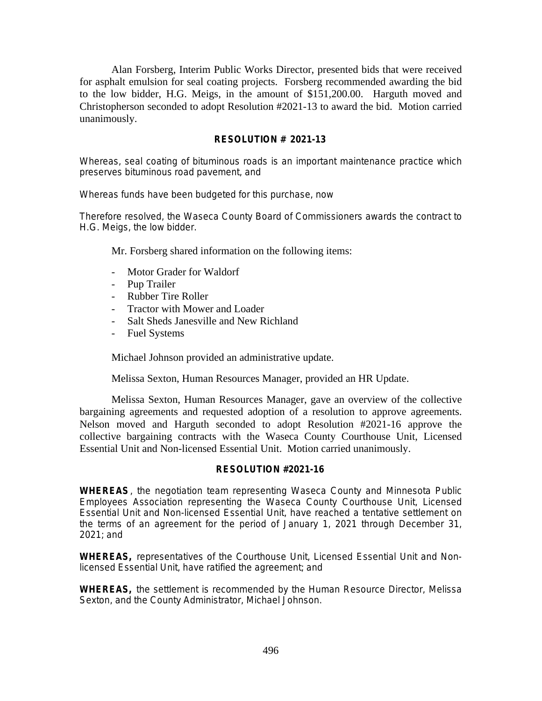Alan Forsberg, Interim Public Works Director, presented bids that were received for asphalt emulsion for seal coating projects. Forsberg recommended awarding the bid to the low bidder, H.G. Meigs, in the amount of \$151,200.00. Harguth moved and Christopherson seconded to adopt Resolution #2021-13 to award the bid. Motion carried unanimously.

# **RESOLUTION # 2021-13**

Whereas, seal coating of bituminous roads is an important maintenance practice which preserves bituminous road pavement, and

Whereas funds have been budgeted for this purchase, now

Therefore resolved, the Waseca County Board of Commissioners awards the contract to H.G. Meigs, the low bidder.

Mr. Forsberg shared information on the following items:

- Motor Grader for Waldorf
- Pup Trailer
- Rubber Tire Roller
- Tractor with Mower and Loader
- Salt Sheds Janesville and New Richland
- Fuel Systems

Michael Johnson provided an administrative update.

Melissa Sexton, Human Resources Manager, provided an HR Update.

Melissa Sexton, Human Resources Manager, gave an overview of the collective bargaining agreements and requested adoption of a resolution to approve agreements. Nelson moved and Harguth seconded to adopt Resolution #2021-16 approve the collective bargaining contracts with the Waseca County Courthouse Unit, Licensed Essential Unit and Non-licensed Essential Unit. Motion carried unanimously.

# **RESOLUTION #2021-16**

**WHEREAS**, the negotiation team representing Waseca County and Minnesota Public Employees Association representing the Waseca County Courthouse Unit, Licensed Essential Unit and Non-licensed Essential Unit, have reached a tentative settlement on the terms of an agreement for the period of January 1, 2021 through December 31, 2021; and

**WHEREAS,** representatives of the Courthouse Unit, Licensed Essential Unit and Nonlicensed Essential Unit, have ratified the agreement; and

**WHEREAS,** the settlement is recommended by the Human Resource Director, Melissa Sexton, and the County Administrator, Michael Johnson.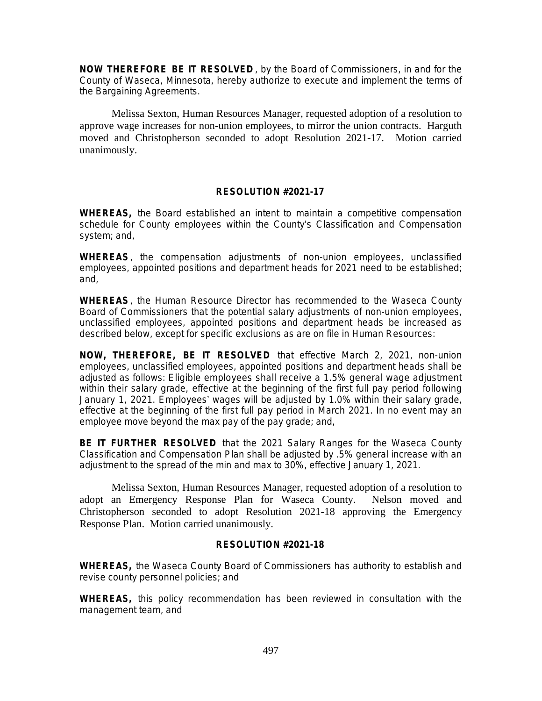**NOW THEREFORE BE IT RESOLVED** , by the Board of Commissioners, in and for the County of Waseca, Minnesota, hereby authorize to execute and implement the terms of the Bargaining Agreements.

Melissa Sexton, Human Resources Manager, requested adoption of a resolution to approve wage increases for non-union employees, to mirror the union contracts. Harguth moved and Christopherson seconded to adopt Resolution 2021-17. Motion carried unanimously.

# **RESOLUTION #2021-17**

**WHEREAS,** the Board established an intent to maintain a competitive compensation schedule for County employees within the County's Classification and Compensation system; and,

**WHEREAS**, the compensation adjustments of non-union employees, unclassified employees, appointed positions and department heads for 2021 need to be established; and,

**WHEREAS**, the Human Resource Director has recommended to the Waseca County Board of Commissioners that the potential salary adjustments of non-union employees, unclassified employees, appointed positions and department heads be increased as described below, except for specific exclusions as are on file in Human Resources:

**NOW, THEREFORE, BE IT RESOLVED** that effective March 2, 2021, non-union employees, unclassified employees, appointed positions and department heads shall be adjusted as follows: Eligible employees shall receive a 1.5% general wage adjustment within their salary grade, effective at the beginning of the first full pay period following January 1, 2021. Employees' wages will be adjusted by 1.0% within their salary grade, effective at the beginning of the first full pay period in March 2021. In no event may an employee move beyond the max pay of the pay grade; and,

**BE IT FURTHER RESOLVED** that the 2021 Salary Ranges for the Waseca County Classification and Compensation Plan shall be adjusted by .5% general increase with an adjustment to the spread of the min and max to 30%, effective January 1, 2021.

Melissa Sexton, Human Resources Manager, requested adoption of a resolution to adopt an Emergency Response Plan for Waseca County. Nelson moved and Christopherson seconded to adopt Resolution 2021-18 approving the Emergency Response Plan. Motion carried unanimously.

# **RESOLUTION #2021-18**

**WHEREAS,** the Waseca County Board of Commissioners has authority to establish and revise county personnel policies; and

**WHEREAS,** this policy recommendation has been reviewed in consultation with the management team, and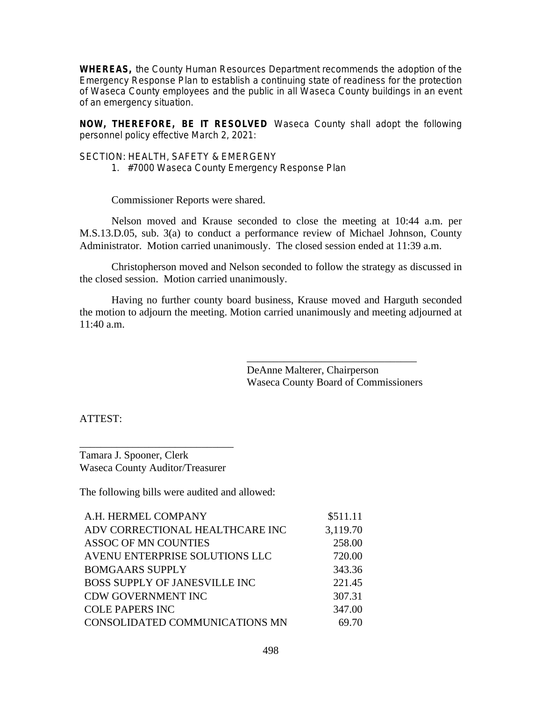**WHEREAS,** the County Human Resources Department recommends the adoption of the Emergency Response Plan to establish a continuing state of readiness for the protection of Waseca County employees and the public in all Waseca County buildings in an event of an emergency situation.

**NOW, THEREFORE, BE IT RESOLVED** Waseca County shall adopt the following personnel policy effective March 2, 2021:

SECTION: HEALTH, SAFETY & EMERGENY

1. #7000 Waseca County Emergency Response Plan

Commissioner Reports were shared.

Nelson moved and Krause seconded to close the meeting at 10:44 a.m. per M.S.13.D.05, sub. 3(a) to conduct a performance review of Michael Johnson, County Administrator. Motion carried unanimously. The closed session ended at 11:39 a.m.

Christopherson moved and Nelson seconded to follow the strategy as discussed in the closed session. Motion carried unanimously.

Having no further county board business, Krause moved and Harguth seconded the motion to adjourn the meeting. Motion carried unanimously and meeting adjourned at 11:40 a.m.

> DeAnne Malterer, Chairperson Waseca County Board of Commissioners

\_\_\_\_\_\_\_\_\_\_\_\_\_\_\_\_\_\_\_\_\_\_\_\_\_\_\_\_\_\_\_\_

ATTEST:

\_\_\_\_\_\_\_\_\_\_\_\_\_\_\_\_\_\_\_\_\_\_\_\_\_\_\_\_\_ Tamara J. Spooner, Clerk Waseca County Auditor/Treasurer

The following bills were audited and allowed:

| A.H. HERMEL COMPANY                  | \$511.11 |
|--------------------------------------|----------|
| ADV CORRECTIONAL HEALTHCARE INC      | 3,119.70 |
| <b>ASSOC OF MN COUNTIES</b>          | 258.00   |
| AVENU ENTERPRISE SOLUTIONS LLC       | 720.00   |
| <b>BOMGAARS SUPPLY</b>               | 343.36   |
| <b>BOSS SUPPLY OF JANESVILLE INC</b> | 221.45   |
| <b>CDW GOVERNMENT INC</b>            | 307.31   |
| <b>COLE PAPERS INC</b>               | 347.00   |
| CONSOLIDATED COMMUNICATIONS MN       | 69.70    |